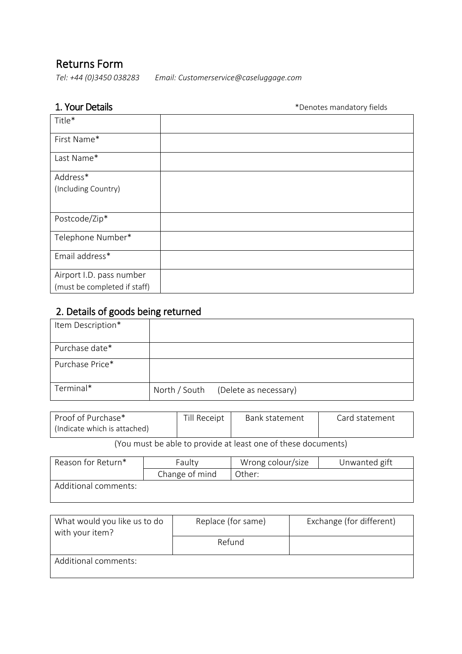# Returns Form

 *Email: Customerservice@caseluggage.com Tel: +44 (0)3450 038283*

**1. Your Details 1. Your Details** 

| Title*                       |  |
|------------------------------|--|
| First Name*                  |  |
| Last Name*                   |  |
| Address*                     |  |
| (Including Country)          |  |
|                              |  |
| Postcode/Zip*                |  |
| Telephone Number*            |  |
| Email address*               |  |
| Airport I.D. pass number     |  |
| (must be completed if staff) |  |

# 2. Details of goods being returned

| Item Description* |               |                       |
|-------------------|---------------|-----------------------|
| Purchase date*    |               |                       |
| Purchase Price*   |               |                       |
| Terminal*         | North / South | (Delete as necessary) |

| Proof of Purchase*<br>(Indicate which is attached) | Till Receipt | Bank statement                                                | Card statement |
|----------------------------------------------------|--------------|---------------------------------------------------------------|----------------|
|                                                    |              | (You must be able to provide at least one of these documents) |                |

(You must be able to provide at least one of these documents)

| Reason for Return*   | Faulty         | Wrong colour/size | Unwanted gift |
|----------------------|----------------|-------------------|---------------|
|                      | Change of mind | Other:            |               |
| Additional comments: |                |                   |               |

| What would you like us to do<br>with your item? | Replace (for same) | Exchange (for different) |
|-------------------------------------------------|--------------------|--------------------------|
|                                                 | Refund             |                          |
| Additional comments:                            |                    |                          |